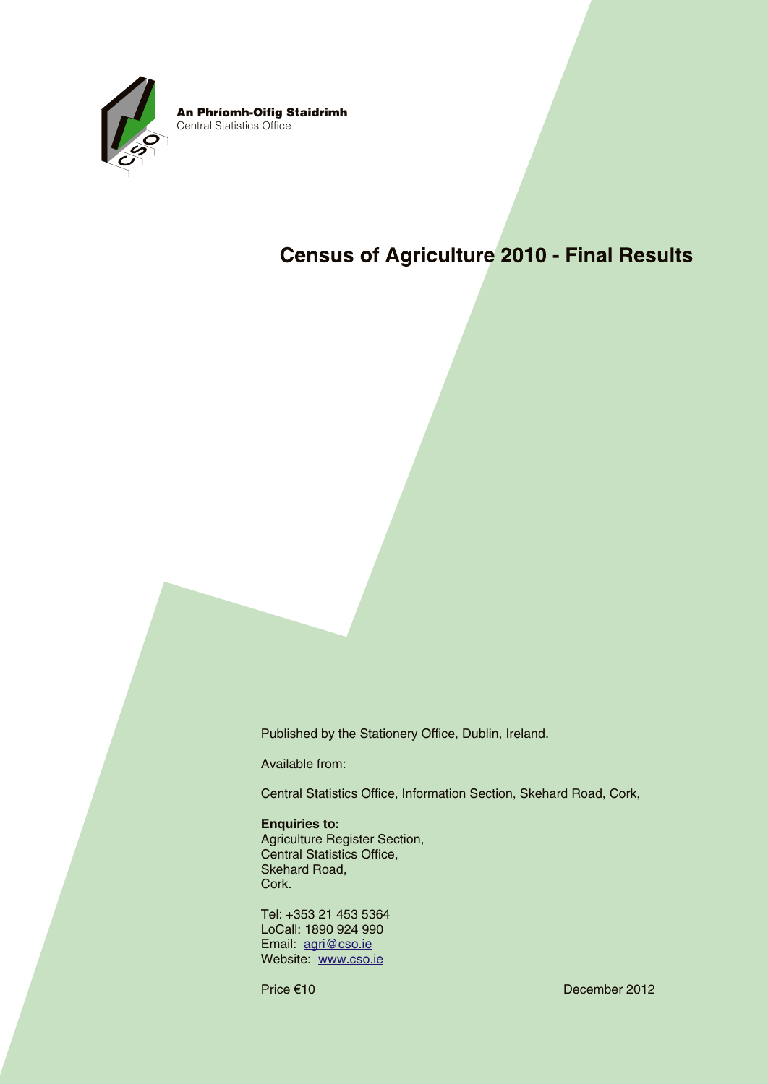

An Phríomh-Oifig Staidrimh Central Statistics Office

## **Census of Agriculture 2010 - Final Results**

Published by the Stationery Office, Dublin, Ireland.

Available from:

Central Statistics Office, Information Section, Skehard Road, Cork,

#### **Enquiries to:**

Agriculture Register Section, Central Statistics Office, Skehard Road, Cork.

Tel: +353 21 453 5364 LoCall: 1890 924 990 Email: agri@cso.ie Website: www.cso.ie

Price €10 December 2012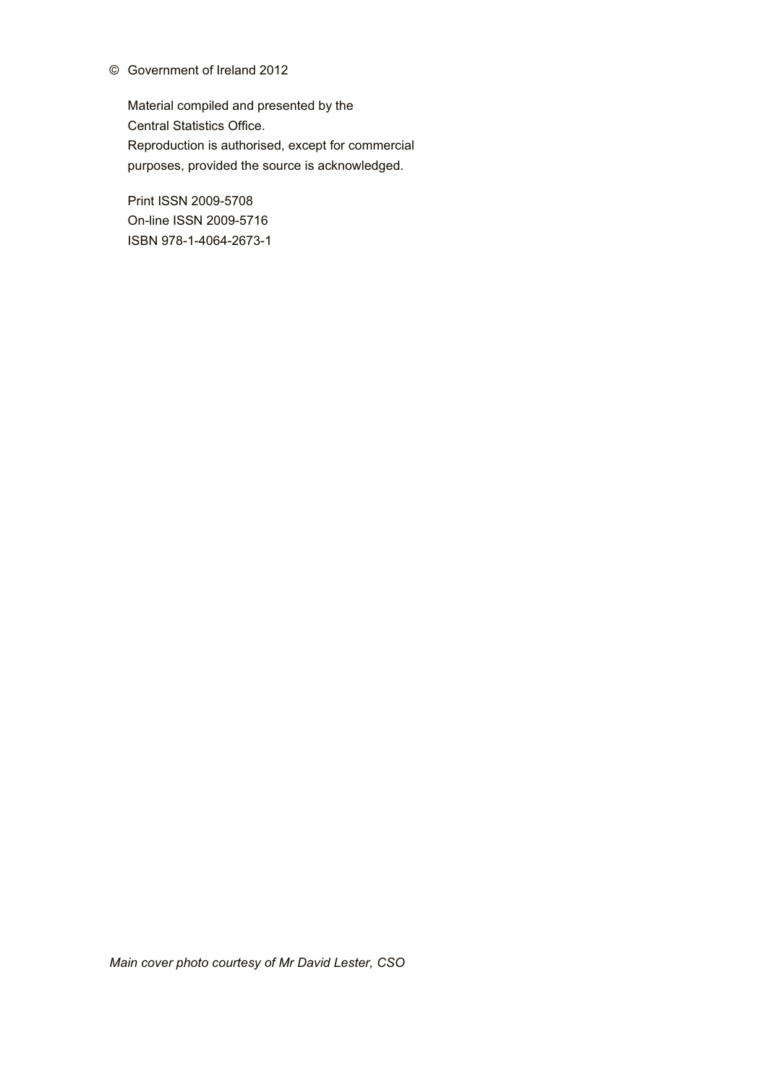#### © Government of Ireland 2012

Material compiled and presented by the Central Statistics Office. Reproduction is authorised, except for commercial purposes, provided the source is acknowledged.

Print ISSN 2009-5708 On-line ISSN 2009-5716 ISBN 978-1-4064-2673-1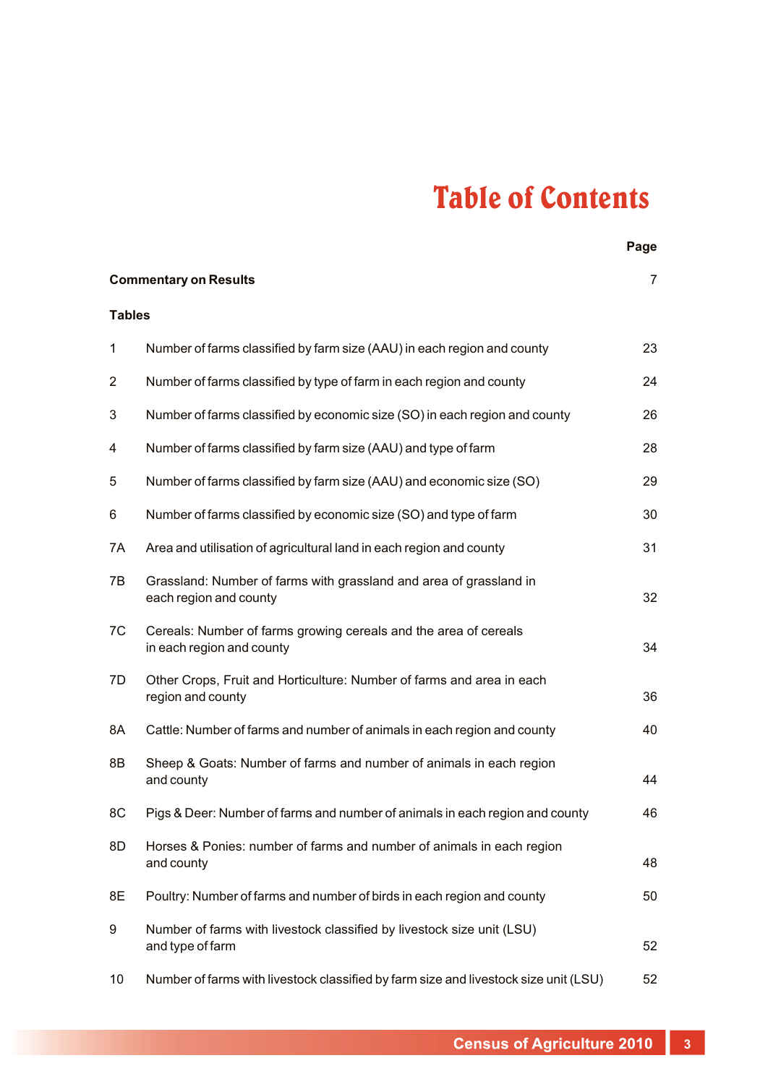# Table of Contents

|                                                |                                                                                               | Page |  |  |  |
|------------------------------------------------|-----------------------------------------------------------------------------------------------|------|--|--|--|
| <b>Commentary on Results</b><br>$\overline{7}$ |                                                                                               |      |  |  |  |
| <b>Tables</b>                                  |                                                                                               |      |  |  |  |
| $\mathbf{1}$                                   | Number of farms classified by farm size (AAU) in each region and county                       | 23   |  |  |  |
| $\overline{2}$                                 | Number of farms classified by type of farm in each region and county                          | 24   |  |  |  |
| 3                                              | Number of farms classified by economic size (SO) in each region and county                    | 26   |  |  |  |
| 4                                              | Number of farms classified by farm size (AAU) and type of farm                                | 28   |  |  |  |
| 5                                              | Number of farms classified by farm size (AAU) and economic size (SO)                          | 29   |  |  |  |
| 6                                              | Number of farms classified by economic size (SO) and type of farm                             | 30   |  |  |  |
| 7A                                             | Area and utilisation of agricultural land in each region and county                           | 31   |  |  |  |
| 7B                                             | Grassland: Number of farms with grassland and area of grassland in<br>each region and county  | 32   |  |  |  |
| 7C                                             | Cereals: Number of farms growing cereals and the area of cereals<br>in each region and county | 34   |  |  |  |
| 7D                                             | Other Crops, Fruit and Horticulture: Number of farms and area in each<br>region and county    | 36   |  |  |  |
| 8A                                             | Cattle: Number of farms and number of animals in each region and county                       | 40   |  |  |  |
| 8B                                             | Sheep & Goats: Number of farms and number of animals in each region<br>and county             | 44   |  |  |  |
| 8C                                             | Pigs & Deer: Number of farms and number of animals in each region and county                  | 46   |  |  |  |
| 8D                                             | Horses & Ponies: number of farms and number of animals in each region<br>and county           | 48   |  |  |  |
| 8E                                             | Poultry: Number of farms and number of birds in each region and county                        | 50   |  |  |  |
| 9                                              | Number of farms with livestock classified by livestock size unit (LSU)<br>and type of farm    | 52   |  |  |  |
| 10                                             | Number of farms with livestock classified by farm size and livestock size unit (LSU)          | 52   |  |  |  |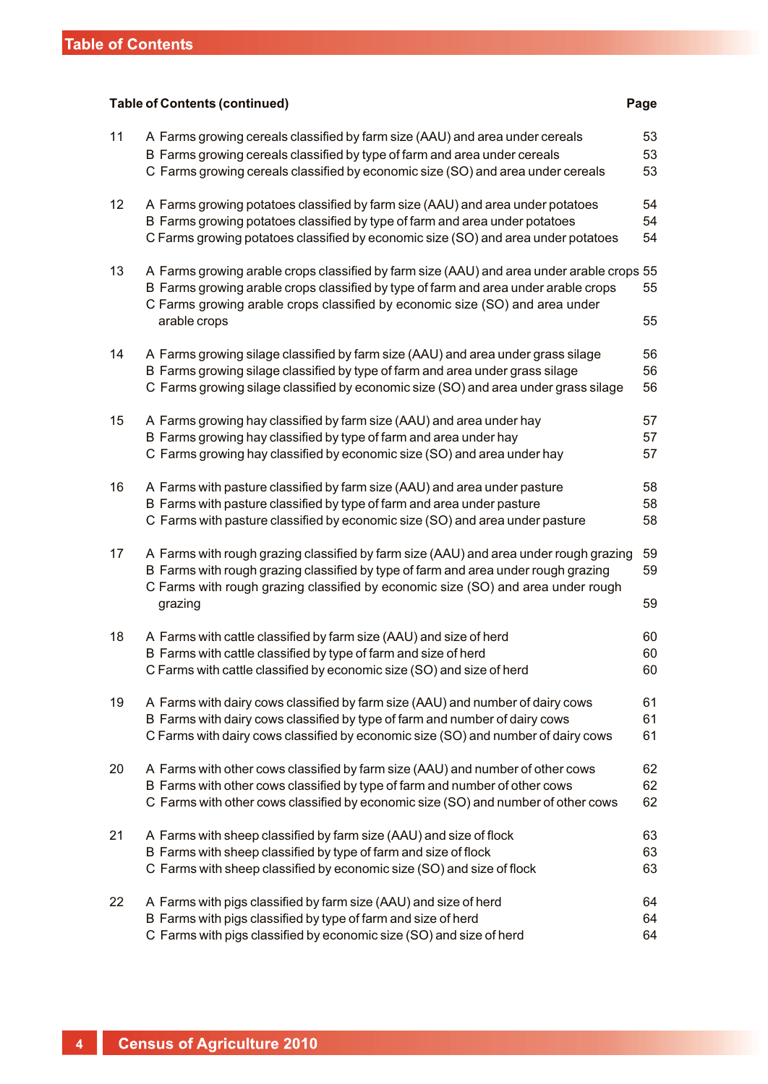### **Table of Contents (continued) Page** 11 A Farms growing cereals classified by farm size (AAU) and area under cereals 53 B Farms growing cereals classified by type of farm and area under cereals  $53$ C Farms growing cereals classified by economic size (SO) and area under cereals 53 12 AFarms growing potatoes classified by farm size (AAU) and area under potatoes 54 B Farms growing potatoes classified by type of farm and area under potatoes 54 C Farms growing potatoes classified by economic size (SO) and area under potatoes 54 13 AFarms growing arable crops classified by farm size (AAU) and area under arable crops 55 B Farms growing arable crops classified by type of farm and area under arable crops 55 C Farms growing arable crops classified by economic size (SO) and area under arable crops 55 14 A Farms growing silage classified by farm size (AAU) and area under grass silage 56 B Farms growing silage classified by type of farm and area under grass silage 56 C Farms growing silage classified by economic size (SO) and area under grass silage 56 15 A Farms growing hay classified by farm size (AAU) and area under hay 57 B Farms growing hay classified by type of farm and area under hay 57 C Farms growing hay classified by economic size (SO) and area under hay 57 16 A Farms with pasture classified by farm size (AAU) and area under pasture 58 B Farms with pasture classified by type of farm and area under pasture 58 C Farms with pasture classified by economic size (SO) and area under pasture 58 17 A Farms with rough grazing classified by farm size (AAU) and area under rough grazing 59 B Farms with rough grazing classified by type of farm and area under rough grazing 59 C Farms with rough grazing classified by economic size (SO) and area under rough grazing 59 and 59 and 59 and 59 and 59 and 59 and 59 and 59 and 59 and 59 and 59 and 59 and 59 and 59 and 59 and 59 and 59 and 59 and 59 and 59 and 59 and 59 and 59 and 59 and 59 and 59 and 59 and 59 and 59 and 59 and 59 a 18 A Farms with cattle classified by farm size (AAU) and size of herd 60 B Farms with cattle classified by type of farm and size of herd 60 C Farms with cattle classified by economic size (SO) and size of herd 60 19 A Farms with dairy cows classified by farm size (AAU) and number of dairy cows 61 B Farms with dairy cows classified by type of farm and number of dairy cows 61 C Farms with dairy cows classified by economic size (SO) and number of dairy cows 61 20 A Farms with other cows classified by farm size (AAU) and number of other cows 62 B Farms with other cows classified by type of farm and number of other cows 62 C Farms with other cows classified by economic size (SO) and number of other cows 62 21 A Farms with sheep classified by farm size (AAU) and size of flock 63 B Farms with sheep classified by type of farm and size of flock 63 C Farms with sheep classified by economic size (SO) and size of flock 63 22 A Farms with pigs classified by farm size (AAU) and size of herd 64 B Farms with pigs classified by type of farm and size of herd 64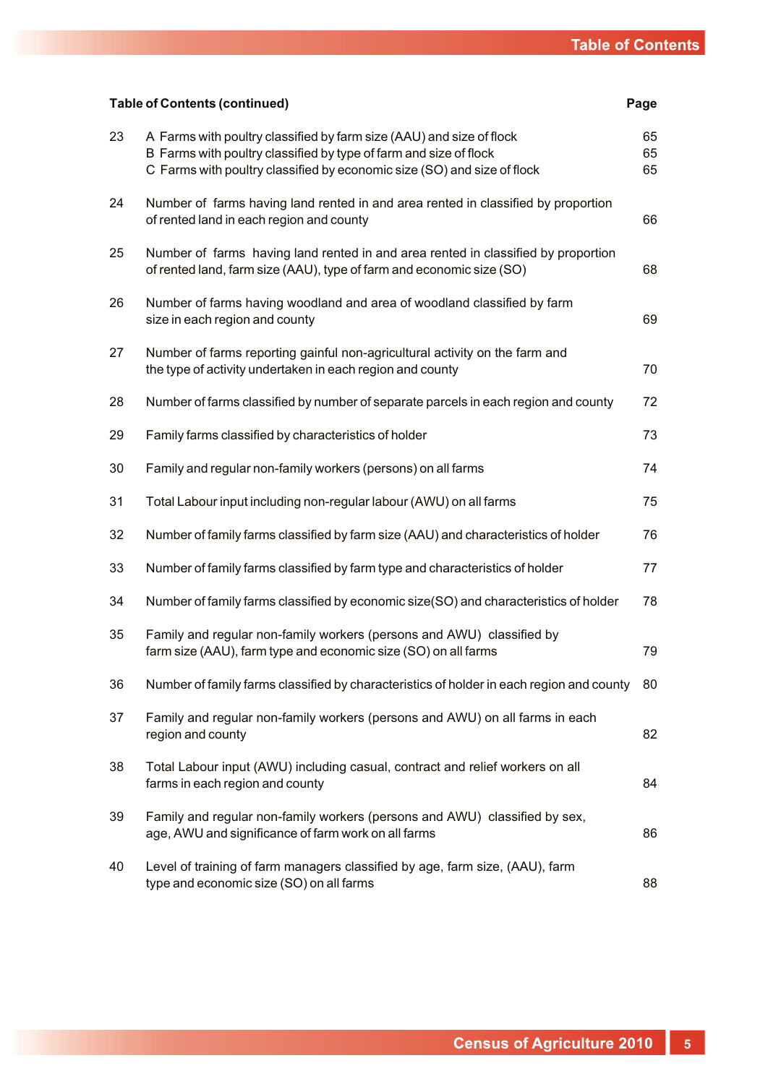| <b>Table of Contents (continued)</b><br>Page |                                                                                                                                                                                                                      |                |  |  |
|----------------------------------------------|----------------------------------------------------------------------------------------------------------------------------------------------------------------------------------------------------------------------|----------------|--|--|
| 23                                           | A Farms with poultry classified by farm size (AAU) and size of flock<br>B Farms with poultry classified by type of farm and size of flock<br>C Farms with poultry classified by economic size (SO) and size of flock | 65<br>65<br>65 |  |  |
| 24                                           | Number of farms having land rented in and area rented in classified by proportion<br>of rented land in each region and county                                                                                        | 66             |  |  |
| 25                                           | Number of farms having land rented in and area rented in classified by proportion<br>of rented land, farm size (AAU), type of farm and economic size (SO)                                                            | 68             |  |  |
| 26                                           | Number of farms having woodland and area of woodland classified by farm<br>size in each region and county                                                                                                            | 69             |  |  |
| 27                                           | Number of farms reporting gainful non-agricultural activity on the farm and<br>the type of activity undertaken in each region and county                                                                             | 70             |  |  |
| 28                                           | Number of farms classified by number of separate parcels in each region and county                                                                                                                                   | 72             |  |  |
| 29                                           | Family farms classified by characteristics of holder                                                                                                                                                                 | 73             |  |  |
| 30                                           | Family and regular non-family workers (persons) on all farms                                                                                                                                                         | 74             |  |  |
| 31                                           | Total Labour input including non-regular labour (AWU) on all farms                                                                                                                                                   | 75             |  |  |
| 32                                           | Number of family farms classified by farm size (AAU) and characteristics of holder                                                                                                                                   | 76             |  |  |
| 33                                           | Number of family farms classified by farm type and characteristics of holder                                                                                                                                         | 77             |  |  |
| 34                                           | Number of family farms classified by economic size(SO) and characteristics of holder                                                                                                                                 | 78             |  |  |
| 35                                           | Family and regular non-family workers (persons and AWU) classified by<br>farm size (AAU), farm type and economic size (SO) on all farms                                                                              | 79             |  |  |
| 36                                           | Number of family farms classified by characteristics of holder in each region and county                                                                                                                             | 80             |  |  |
| 37                                           | Family and regular non-family workers (persons and AWU) on all farms in each<br>region and county                                                                                                                    | 82             |  |  |
| 38                                           | Total Labour input (AWU) including casual, contract and relief workers on all<br>farms in each region and county                                                                                                     | 84             |  |  |
| 39                                           | Family and regular non-family workers (persons and AWU) classified by sex,<br>age, AWU and significance of farm work on all farms                                                                                    | 86             |  |  |
| 40                                           | Level of training of farm managers classified by age, farm size, (AAU), farm<br>type and economic size (SO) on all farms                                                                                             | 88             |  |  |